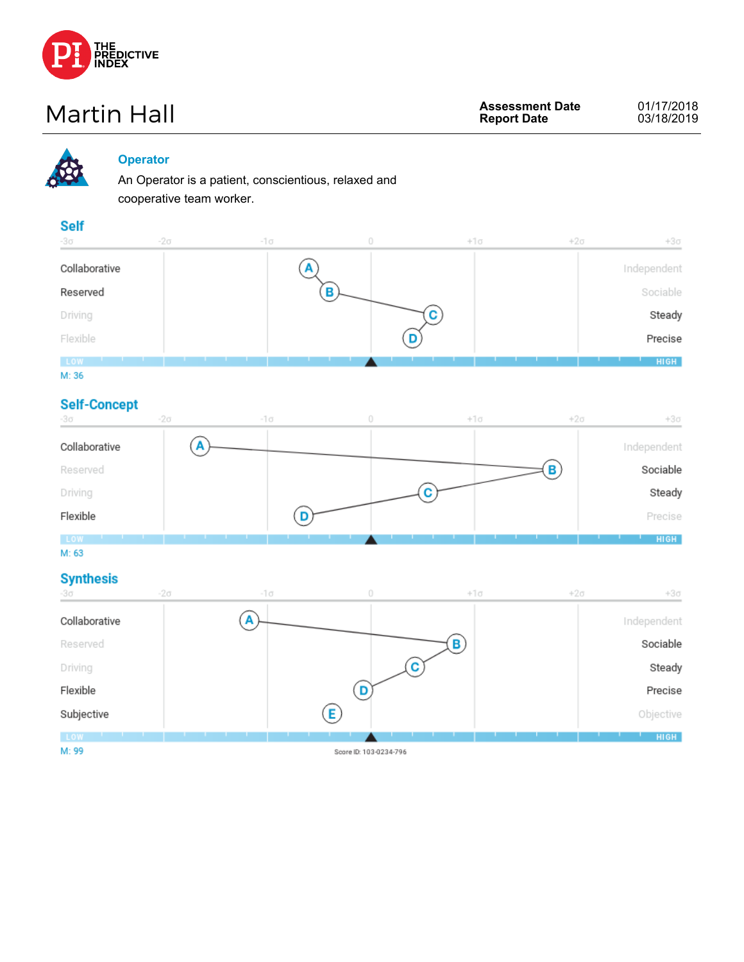

# **Martin Hall Assessment Date**<br> **Assessment Date**



#### **Operator**

An Operator is a patient, conscientious, relaxed and cooperative team worker.

#### **Self**

| -30           | $-2\sigma$ | -1 σ | 0 | $+1\sigma$ | $+2\sigma$ | $+3\sigma$  |
|---------------|------------|------|---|------------|------------|-------------|
| Collaborative |            |      |   |            |            | Independent |
| Reserved      |            |      | D |            |            | Sociable    |
| Driving       |            |      |   |            |            | Steady      |
| Flexible      |            |      |   |            |            | Precise     |
| LOW           |            |      |   |            |            | <b>HIGH</b> |
| M: 36         |            |      |   |            |            |             |

#### **Self-Concept**

| -30           | $-2\sigma$ | $-1\sigma$ | $+1\sigma$ | $+2\sigma$ | $+3\sigma$  |
|---------------|------------|------------|------------|------------|-------------|
| Collaborative |            |            |            |            | Independent |
| Reserved      |            |            |            |            | Sociable    |
| Driving       |            |            |            |            | Steady      |
| Flexible      |            |            |            |            | Precise     |
| LOW           |            |            |            |            | <b>HIGH</b> |

M: 63

#### **Synthesis**

| $-3\sigma$    | $-2\sigma$ | -1 σ |                        | $+1\sigma$ | $+2\sigma$ | $+3\sigma$  |
|---------------|------------|------|------------------------|------------|------------|-------------|
| Collaborative |            | P    |                        |            |            | Independent |
| Reserved      |            |      |                        |            |            | Sociable    |
| Driving       |            |      |                        |            |            | Steady      |
| Flexible      |            |      |                        |            |            | Precise     |
| Subjective    |            |      |                        |            |            | Objective   |
| LOW           |            |      |                        |            |            | <b>HIGH</b> |
| M: 99         |            |      | Score ID: 103-0234-796 |            |            |             |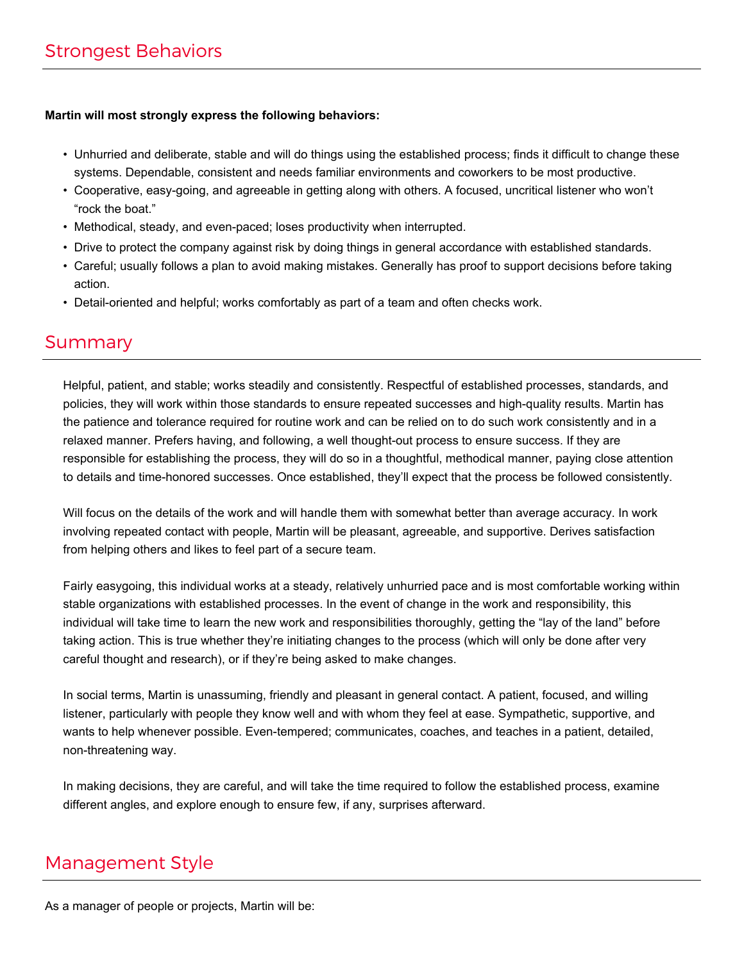#### **Martin will most strongly express the following behaviors:**

- Unhurried and deliberate, stable and will do things using the established process; finds it difficult to change these systems. Dependable, consistent and needs familiar environments and coworkers to be most productive.
- Cooperative, easy-going, and agreeable in getting along with others. A focused, uncritical listener who won't "rock the boat."
- Methodical, steady, and even-paced; loses productivity when interrupted.
- Drive to protect the company against risk by doing things in general accordance with established standards.
- Careful; usually follows a plan to avoid making mistakes. Generally has proof to support decisions before taking action.
- Detail-oriented and helpful; works comfortably as part of a team and often checks work.

### Summary

Helpful, patient, and stable; works steadily and consistently. Respectful of established processes, standards, and policies, they will work within those standards to ensure repeated successes and high-quality results. Martin has the patience and tolerance required for routine work and can be relied on to do such work consistently and in a relaxed manner. Prefers having, and following, a well thought-out process to ensure success. If they are responsible for establishing the process, they will do so in a thoughtful, methodical manner, paying close attention to details and time-honored successes. Once established, they'll expect that the process be followed consistently.

Will focus on the details of the work and will handle them with somewhat better than average accuracy. In work involving repeated contact with people, Martin will be pleasant, agreeable, and supportive. Derives satisfaction from helping others and likes to feel part of a secure team.

Fairly easygoing, this individual works at a steady, relatively unhurried pace and is most comfortable working within stable organizations with established processes. In the event of change in the work and responsibility, this individual will take time to learn the new work and responsibilities thoroughly, getting the "lay of the land" before taking action. This is true whether they're initiating changes to the process (which will only be done after very careful thought and research), or if they're being asked to make changes.

In social terms, Martin is unassuming, friendly and pleasant in general contact. A patient, focused, and willing listener, particularly with people they know well and with whom they feel at ease. Sympathetic, supportive, and wants to help whenever possible. Even-tempered; communicates, coaches, and teaches in a patient, detailed, non-threatening way.

In making decisions, they are careful, and will take the time required to follow the established process, examine different angles, and explore enough to ensure few, if any, surprises afterward.

### Management Style

As a manager of people or projects, Martin will be: